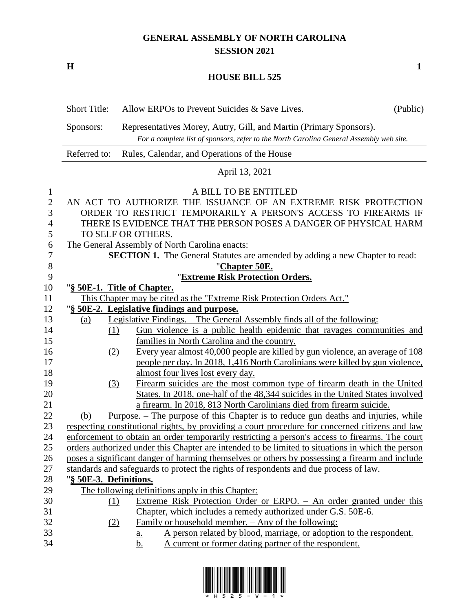## **GENERAL ASSEMBLY OF NORTH CAROLINA SESSION 2021**

**H 1**

#### **HOUSE BILL 525**

|              | <b>Short Title:</b>                                                                             | Allow ERPOs to Prevent Suicides & Save Lives.                                                                                                                 | (Public) |
|--------------|-------------------------------------------------------------------------------------------------|---------------------------------------------------------------------------------------------------------------------------------------------------------------|----------|
|              | Sponsors:                                                                                       | Representatives Morey, Autry, Gill, and Martin (Primary Sponsors).<br>For a complete list of sponsors, refer to the North Carolina General Assembly web site. |          |
|              | Referred to:                                                                                    | Rules, Calendar, and Operations of the House                                                                                                                  |          |
|              |                                                                                                 | April 13, 2021                                                                                                                                                |          |
| $\mathbf{1}$ |                                                                                                 | A BILL TO BE ENTITLED                                                                                                                                         |          |
| $\mathbf{2}$ |                                                                                                 | AN ACT TO AUTHORIZE THE ISSUANCE OF AN EXTREME RISK PROTECTION                                                                                                |          |
| 3            |                                                                                                 | ORDER TO RESTRICT TEMPORARILY A PERSON'S ACCESS TO FIREARMS IF                                                                                                |          |
| 4            |                                                                                                 | THERE IS EVIDENCE THAT THE PERSON POSES A DANGER OF PHYSICAL HARM                                                                                             |          |
| 5            |                                                                                                 | TO SELF OR OTHERS.                                                                                                                                            |          |
| 6            |                                                                                                 | The General Assembly of North Carolina enacts:                                                                                                                |          |
| 7            |                                                                                                 | <b>SECTION 1.</b> The General Statutes are amended by adding a new Chapter to read:                                                                           |          |
| $8\,$        |                                                                                                 | "Chapter 50E.                                                                                                                                                 |          |
| 9            |                                                                                                 | "Extreme Risk Protection Orders.                                                                                                                              |          |
| 10           |                                                                                                 | "§ 50E-1. Title of Chapter.                                                                                                                                   |          |
| 11           |                                                                                                 | This Chapter may be cited as the "Extreme Risk Protection Orders Act."                                                                                        |          |
| 12           |                                                                                                 | "§ 50E-2. Legislative findings and purpose.                                                                                                                   |          |
| 13           | (a)                                                                                             | Legislative Findings. - The General Assembly finds all of the following:                                                                                      |          |
| 14           |                                                                                                 | Gun violence is a public health epidemic that ravages communities and<br>(1)                                                                                  |          |
| 15           |                                                                                                 | families in North Carolina and the country.                                                                                                                   |          |
| 16           |                                                                                                 | Every year almost 40,000 people are killed by gun violence, an average of 108<br>(2)                                                                          |          |
| 17           |                                                                                                 | people per day. In 2018, 1,416 North Carolinians were killed by gun violence,                                                                                 |          |
| 18           |                                                                                                 | almost four lives lost every day.                                                                                                                             |          |
| 19           |                                                                                                 | Firearm suicides are the most common type of firearm death in the United<br><u>(3)</u>                                                                        |          |
| 20           |                                                                                                 | States. In 2018, one-half of the 48,344 suicides in the United States involved                                                                                |          |
| 21           |                                                                                                 | a firearm. In 2018, 813 North Carolinians died from firearm suicide.                                                                                          |          |
| 22           | (b)                                                                                             | <u>Purpose. – The purpose of this Chapter is to reduce gun deaths and injuries, while</u>                                                                     |          |
| 23           |                                                                                                 | respecting constitutional rights, by providing a court procedure for concerned citizens and law                                                               |          |
| 24           | enforcement to obtain an order temporarily restricting a person's access to firearms. The court |                                                                                                                                                               |          |
| 25           |                                                                                                 | orders authorized under this Chapter are intended to be limited to situations in which the person                                                             |          |
| 26           |                                                                                                 | poses a significant danger of harming themselves or others by possessing a firearm and include                                                                |          |
| 27           |                                                                                                 | standards and safeguards to protect the rights of respondents and due process of law.                                                                         |          |
| 28           | "§ 50E-3. Definitions.                                                                          |                                                                                                                                                               |          |
| 29           |                                                                                                 | The following definitions apply in this Chapter:                                                                                                              |          |
| 30           |                                                                                                 | Extreme Risk Protection Order or ERPO. - An order granted under this<br>(1)                                                                                   |          |
| 31           |                                                                                                 | Chapter, which includes a remedy authorized under G.S. 50E-6.                                                                                                 |          |
| 32           |                                                                                                 | Family or household member. - Any of the following:<br>(2)                                                                                                    |          |
| 33           |                                                                                                 | A person related by blood, marriage, or adoption to the respondent.<br><u>a.</u>                                                                              |          |
| 34           |                                                                                                 | A current or former dating partner of the respondent.<br><u>b.</u>                                                                                            |          |

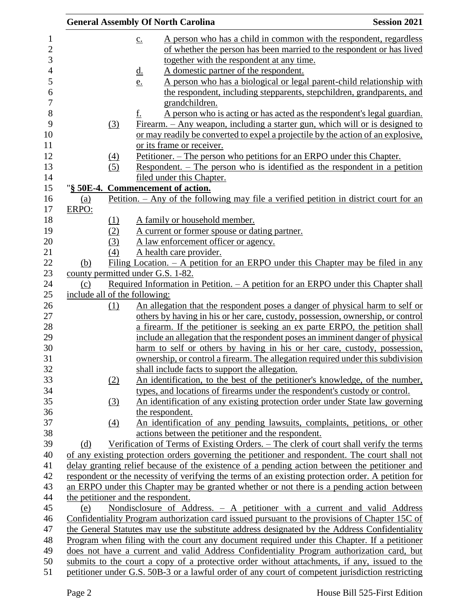|            |            | <b>General Assembly Of North Carolina</b>                                                                                        | <b>Session 2021</b> |
|------------|------------|----------------------------------------------------------------------------------------------------------------------------------|---------------------|
|            |            | A person who has a child in common with the respondent, regardless<br>$\underline{c}$ .                                          |                     |
|            |            | of whether the person has been married to the respondent or has lived                                                            |                     |
|            |            | together with the respondent at any time.                                                                                        |                     |
|            |            | A domestic partner of the respondent.<br><u>d.</u>                                                                               |                     |
|            |            | A person who has a biological or legal parent-child relationship with<br>e.                                                      |                     |
|            |            | the respondent, including stepparents, stepchildren, grandparents, and                                                           |                     |
|            |            | grandchildren.                                                                                                                   |                     |
|            |            | f.<br>A person who is acting or has acted as the respondent's legal guardian.                                                    |                     |
|            | (3)        | Firearm. – Any weapon, including a starter gun, which will or is designed to                                                     |                     |
|            |            | or may readily be converted to expel a projectile by the action of an explosive.                                                 |                     |
|            |            | or its frame or receiver.                                                                                                        |                     |
|            | (4)        | <u> Petitioner. – The person who petitions for an ERPO under this Chapter.</u>                                                   |                     |
|            | (5)        | Respondent. – The person who is identified as the respondent in a petition                                                       |                     |
|            |            | filed under this Chapter.                                                                                                        |                     |
|            |            | "§ 50E-4. Commencement of action.                                                                                                |                     |
| <u>(a)</u> |            | Petition. – Any of the following may file a verified petition in district court for an                                           |                     |
| ERPO:      |            |                                                                                                                                  |                     |
|            | (1)        | A family or household member.                                                                                                    |                     |
|            | (2)        | A current or former spouse or dating partner.                                                                                    |                     |
|            | (3)<br>(4) | A law enforcement officer or agency.                                                                                             |                     |
| (b)        |            | A health care provider.<br>Filing Location. $- A$ petition for an ERPO under this Chapter may be filed in any                    |                     |
|            |            | county permitted under G.S. 1-82.                                                                                                |                     |
| (c)        |            | <u>Required Information in Petition. – A petition for an ERPO under this Chapter shall</u>                                       |                     |
|            |            | include all of the following:                                                                                                    |                     |
|            | (1)        | An allegation that the respondent poses a danger of physical harm to self or                                                     |                     |
|            |            | others by having in his or her care, custody, possession, ownership, or control                                                  |                     |
|            |            | a firearm. If the petitioner is seeking an ex parte ERPO, the petition shall                                                     |                     |
|            |            | include an allegation that the respondent poses an imminent danger of physical                                                   |                     |
|            |            | harm to self or others by having in his or her care, custody, possession,                                                        |                     |
|            |            | ownership, or control a firearm. The allegation required under this subdivision                                                  |                     |
|            |            | shall include facts to support the allegation.                                                                                   |                     |
|            | (2)        | An identification, to the best of the petitioner's knowledge, of the number,                                                     |                     |
|            |            | types, and locations of firearms under the respondent's custody or control.                                                      |                     |
|            | (3)        | An identification of any existing protection order under State law governing                                                     |                     |
|            |            | the respondent.                                                                                                                  |                     |
|            | (4)        | An identification of any pending lawsuits, complaints, petitions, or other<br>actions between the petitioner and the respondent. |                     |
| (d)        |            | Verification of Terms of Existing Orders. – The clerk of court shall verify the terms                                            |                     |
|            |            | of any existing protection orders governing the petitioner and respondent. The court shall not                                   |                     |
|            |            | delay granting relief because of the existence of a pending action between the petitioner and                                    |                     |
|            |            | respondent or the necessity of verifying the terms of an existing protection order. A petition for                               |                     |
|            |            | an ERPO under this Chapter may be granted whether or not there is a pending action between                                       |                     |
|            |            | the petitioner and the respondent.                                                                                               |                     |
| (e)        |            | Nondisclosure of Address. - A petitioner with a current and valid Address                                                        |                     |
|            |            | Confidentiality Program authorization card issued pursuant to the provisions of Chapter 15C of                                   |                     |
|            |            | the General Statutes may use the substitute address designated by the Address Confidentiality                                    |                     |
|            |            | <u>Program when filing with the court any document required under this Chapter. If a petitioner</u>                              |                     |
|            |            | does not have a current and valid Address Confidentiality Program authorization card, but                                        |                     |
|            |            | submits to the court a copy of a protective order without attachments, if any, issued to the                                     |                     |
|            |            | petitioner under G.S. 50B-3 or a lawful order of any court of competent jurisdiction restricting                                 |                     |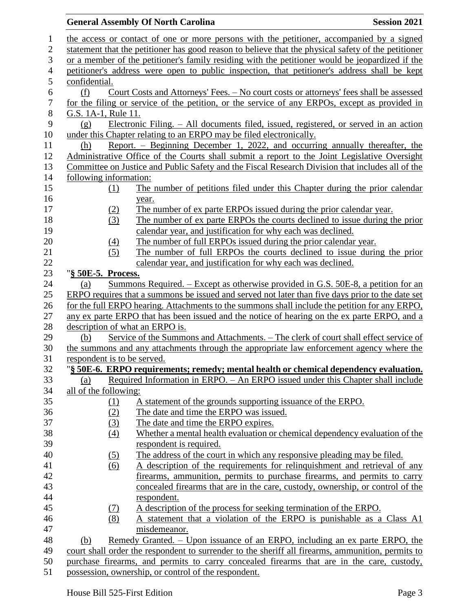### **General Assembly Of North Carolina Session 2021**  the access or contact of one or more persons with the petitioner, accompanied by a signed statement that the petitioner has good reason to believe that the physical safety of the petitioner or a member of the petitioner's family residing with the petitioner would be jeopardized if the petitioner's address were open to public inspection, that petitioner's address shall be kept confidential. (f) Court Costs and Attorneys' Fees. – No court costs or attorneys' fees shall be assessed for the filing or service of the petition, or the service of any ERPOs, except as provided in G.S. 1A-1, Rule 11. (g) Electronic Filing. – All documents filed, issued, registered, or served in an action 10 under this Chapter relating to an ERPO may be filed electronically. (h) Report. – Beginning December 1, 2022, and occurring annually thereafter, the Administrative Office of the Courts shall submit a report to the Joint Legislative Oversight Committee on Justice and Public Safety and the Fiscal Research Division that includes all of the following information: (1) The number of petitions filed under this Chapter during the prior calendar year. (2) The number of ex parte ERPOs issued during the prior calendar year. (3) The number of ex parte ERPOs the courts declined to issue during the prior calendar year, and justification for why each was declined. 20 (4) The number of full ERPOs issued during the prior calendar year. (5) The number of full ERPOs the courts declined to issue during the prior calendar year, and justification for why each was declined. "**§ 50E-5. Process.** (a) Summons Required. – Except as otherwise provided in G.S. 50E-8, a petition for an ERPO requires that a summons be issued and served not later than five days prior to the date set 26 for the full ERPO hearing. Attachments to the summons shall include the petition for any ERPO, any ex parte ERPO that has been issued and the notice of hearing on the ex parte ERPO, and a description of what an ERPO is. (b) Service of the Summons and Attachments. – The clerk of court shall effect service of the summons and any attachments through the appropriate law enforcement agency where the respondent is to be served. "**§ 50E-6. ERPO requirements; remedy; mental health or chemical dependency evaluation.** (a) Required Information in ERPO. – An ERPO issued under this Chapter shall include all of the following: (1) A statement of the grounds supporting issuance of the ERPO. (2) The date and time the ERPO was issued. (3) The date and time the ERPO expires. (4) Whether a mental health evaluation or chemical dependency evaluation of the respondent is required. (5) The address of the court in which any responsive pleading may be filed. (6) A description of the requirements for relinquishment and retrieval of any firearms, ammunition, permits to purchase firearms, and permits to carry concealed firearms that are in the care, custody, ownership, or control of the respondent. (7) A description of the process for seeking termination of the ERPO. (8) A statement that a violation of the ERPO is punishable as a Class A1 misdemeanor. (b) Remedy Granted. – Upon issuance of an ERPO, including an ex parte ERPO, the court shall order the respondent to surrender to the sheriff all firearms, ammunition, permits to purchase firearms, and permits to carry concealed firearms that are in the care, custody, possession, ownership, or control of the respondent.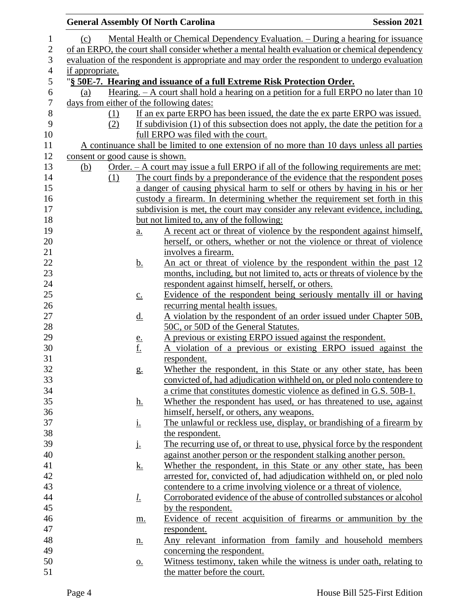|                                 |                   | <b>General Assembly Of North Carolina</b>                                                      | <b>Session 2021</b> |
|---------------------------------|-------------------|------------------------------------------------------------------------------------------------|---------------------|
| (c)                             |                   | Mental Health or Chemical Dependency Evaluation. – During a hearing for issuance               |                     |
|                                 |                   | of an ERPO, the court shall consider whether a mental health evaluation or chemical dependency |                     |
|                                 |                   | evaluation of the respondent is appropriate and may order the respondent to undergo evaluation |                     |
| if appropriate.                 |                   |                                                                                                |                     |
|                                 |                   | "§ 50E-7. Hearing and issuance of a full Extreme Risk Protection Order.                        |                     |
| (a)                             |                   | Hearing. $- A$ court shall hold a hearing on a petition for a full ERPO no later than 10       |                     |
|                                 |                   | days from either of the following dates:                                                       |                     |
|                                 | (1)               | If an ex parte ERPO has been issued, the date the ex parte ERPO was issued.                    |                     |
|                                 | (2)               | If subdivision (1) of this subsection does not apply, the date the petition for a              |                     |
|                                 |                   | full ERPO was filed with the court.                                                            |                     |
|                                 |                   | A continuance shall be limited to one extension of no more than 10 days unless all parties     |                     |
| consent or good cause is shown. |                   |                                                                                                |                     |
| (b)                             |                   | <u>Order. – A court may issue a full ERPO if all of the following requirements are met:</u>    |                     |
|                                 | (1)               | The court finds by a preponderance of the evidence that the respondent poses                   |                     |
|                                 |                   | a danger of causing physical harm to self or others by having in his or her                    |                     |
|                                 |                   | custody a firearm. In determining whether the requirement set forth in this                    |                     |
|                                 |                   | subdivision is met, the court may consider any relevant evidence, including,                   |                     |
|                                 |                   | but not limited to, any of the following:                                                      |                     |
|                                 | $\underline{a}$ . | A recent act or threat of violence by the respondent against himself,                          |                     |
|                                 |                   | herself, or others, whether or not the violence or threat of violence                          |                     |
|                                 |                   | involves a firearm.                                                                            |                     |
|                                 | <u>b.</u>         | An act or threat of violence by the respondent within the past 12                              |                     |
|                                 |                   | months, including, but not limited to, acts or threats of violence by the                      |                     |
|                                 |                   | respondent against himself, herself, or others.                                                |                     |
|                                 | $\underline{C}$ . | Evidence of the respondent being seriously mentally ill or having                              |                     |
|                                 |                   | recurring mental health issues.                                                                |                     |
|                                 | <u>d.</u>         | A violation by the respondent of an order issued under Chapter 50B,                            |                     |
|                                 |                   | 50C, or 50D of the General Statutes.                                                           |                     |
|                                 |                   | A previous or existing ERPO issued against the respondent.                                     |                     |
|                                 | $\frac{e}{f}$     | A violation of a previous or existing ERPO issued against the                                  |                     |
|                                 |                   | respondent.                                                                                    |                     |
|                                 | g.                | Whether the respondent, in this State or any other state, has been                             |                     |
|                                 |                   | convicted of, had adjudication withheld on, or pled nolo contendere to                         |                     |
|                                 |                   | a crime that constitutes domestic violence as defined in G.S. 50B-1.                           |                     |
|                                 | <u>h.</u>         | Whether the respondent has used, or has threatened to use, against                             |                     |
|                                 |                   | himself, herself, or others, any weapons.                                                      |                     |
|                                 | <u>i.</u>         | The unlawful or reckless use, display, or brandishing of a firearm by                          |                     |
|                                 |                   | the respondent.                                                                                |                     |
|                                 | j.                | The recurring use of, or threat to use, physical force by the respondent                       |                     |
|                                 |                   | against another person or the respondent stalking another person.                              |                     |
|                                 | <u>k.</u>         | Whether the respondent, in this State or any other state, has been                             |                     |
|                                 |                   | arrested for, convicted of, had adjudication withheld on, or pled nolo                         |                     |
|                                 |                   | contendere to a crime involving violence or a threat of violence.                              |                     |
|                                 | <u>l.</u>         | Corroborated evidence of the abuse of controlled substances or alcohol                         |                     |
|                                 |                   | by the respondent.                                                                             |                     |
|                                 | m.                | Evidence of recent acquisition of firearms or ammunition by the                                |                     |
|                                 |                   | respondent.                                                                                    |                     |
|                                 | <u>n.</u>         | Any relevant information from family and household members                                     |                     |
|                                 |                   | concerning the respondent.                                                                     |                     |
|                                 | $\underline{0}$ . | Witness testimony, taken while the witness is under oath, relating to                          |                     |
|                                 |                   | the matter before the court.                                                                   |                     |
|                                 |                   |                                                                                                |                     |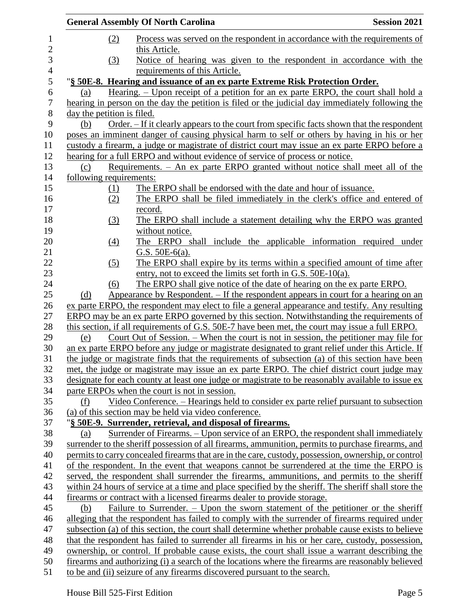|                            | <b>General Assembly Of North Carolina</b>                                                                                                                                                  | <b>Session 2021</b> |
|----------------------------|--------------------------------------------------------------------------------------------------------------------------------------------------------------------------------------------|---------------------|
| (2)                        | Process was served on the respondent in accordance with the requirements of                                                                                                                |                     |
|                            | this Article.                                                                                                                                                                              |                     |
| (3)                        | Notice of hearing was given to the respondent in accordance with the                                                                                                                       |                     |
|                            | requirements of this Article.                                                                                                                                                              |                     |
|                            | "§ 50E-8. Hearing and issuance of an ex parte Extreme Risk Protection Order.                                                                                                               |                     |
| (a)                        | Hearing. – Upon receipt of a petition for an ex parte ERPO, the court shall hold a                                                                                                         |                     |
|                            | hearing in person on the day the petition is filed or the judicial day immediately following the                                                                                           |                     |
| day the petition is filed. |                                                                                                                                                                                            |                     |
| (b)                        | Order. – If it clearly appears to the court from specific facts shown that the respondent                                                                                                  |                     |
|                            | poses an imminent danger of causing physical harm to self or others by having in his or her                                                                                                |                     |
|                            | custody a firearm, a judge or magistrate of district court may issue an ex parte ERPO before a                                                                                             |                     |
|                            | hearing for a full ERPO and without evidence of service of process or notice.                                                                                                              |                     |
| (c)                        | Requirements. - An ex parte ERPO granted without notice shall meet all of the                                                                                                              |                     |
| following requirements:    |                                                                                                                                                                                            |                     |
| (1)                        | The ERPO shall be endorsed with the date and hour of issuance.<br>The ERPO shall be filed immediately in the clerk's office and entered of                                                 |                     |
| (2)                        |                                                                                                                                                                                            |                     |
| (3)                        | record.<br>The ERPO shall include a statement detailing why the ERPO was granted                                                                                                           |                     |
|                            | without notice.                                                                                                                                                                            |                     |
| $\left(4\right)$           | The ERPO shall include the applicable information required under                                                                                                                           |                     |
|                            | G.S. $50E-6(a)$ .                                                                                                                                                                          |                     |
| (5)                        | The ERPO shall expire by its terms within a specified amount of time after                                                                                                                 |                     |
|                            | entry, not to exceed the limits set forth in G.S. 50E-10(a).                                                                                                                               |                     |
| (6)                        | The ERPO shall give notice of the date of hearing on the ex parte ERPO.                                                                                                                    |                     |
| (d)                        | Appearance by Respondent. – If the respondent appears in court for a hearing on an                                                                                                         |                     |
|                            | ex parte ERPO, the respondent may elect to file a general appearance and testify. Any resulting                                                                                            |                     |
|                            | ERPO may be an ex parte ERPO governed by this section. Notwithstanding the requirements of                                                                                                 |                     |
|                            | this section, if all requirements of G.S. 50E-7 have been met, the court may issue a full ERPO.                                                                                            |                     |
| (e)                        | Court Out of Session. – When the court is not in session, the petitioner may file for                                                                                                      |                     |
|                            | an ex parte ERPO before any judge or magistrate designated to grant relief under this Article. If                                                                                          |                     |
|                            | the judge or magistrate finds that the requirements of subsection (a) of this section have been                                                                                            |                     |
|                            | met, the judge or magistrate may issue an ex parte ERPO. The chief district court judge may                                                                                                |                     |
|                            | designate for each county at least one judge or magistrate to be reasonably available to issue ex                                                                                          |                     |
|                            | parte ERPOs when the court is not in session.                                                                                                                                              |                     |
| (f)                        | <u>Video Conference. – Hearings held to consider ex parte relief pursuant to subsection</u>                                                                                                |                     |
|                            | (a) of this section may be held via video conference.                                                                                                                                      |                     |
|                            | "§ 50E-9. Surrender, retrieval, and disposal of firearms.                                                                                                                                  |                     |
| (a)                        | Surrender of Firearms. – Upon service of an ERPO, the respondent shall immediately                                                                                                         |                     |
|                            | surrender to the sheriff possession of all firearms, ammunition, permits to purchase firearms, and                                                                                         |                     |
|                            | permits to carry concealed firearms that are in the care, custody, possession, ownership, or control                                                                                       |                     |
|                            | of the respondent. In the event that weapons cannot be surrendered at the time the ERPO is<br>served, the respondent shall surrender the firearms, ammunitions, and permits to the sheriff |                     |
|                            | within 24 hours of service at a time and place specified by the sheriff. The sheriff shall store the                                                                                       |                     |
|                            | firearms or contract with a licensed firearms dealer to provide storage.                                                                                                                   |                     |
| (b)                        | Failure to Surrender. – Upon the sworn statement of the petitioner or the sheriff                                                                                                          |                     |
|                            | alleging that the respondent has failed to comply with the surrender of firearms required under                                                                                            |                     |
|                            | subsection (a) of this section, the court shall determine whether probable cause exists to believe                                                                                         |                     |
|                            | that the respondent has failed to surrender all firearms in his or her care, custody, possession,                                                                                          |                     |
|                            | ownership, or control. If probable cause exists, the court shall issue a warrant describing the                                                                                            |                     |
|                            | firearms and authorizing (i) a search of the locations where the firearms are reasonably believed                                                                                          |                     |
|                            | to be and (ii) seizure of any firearms discovered pursuant to the search.                                                                                                                  |                     |
|                            |                                                                                                                                                                                            |                     |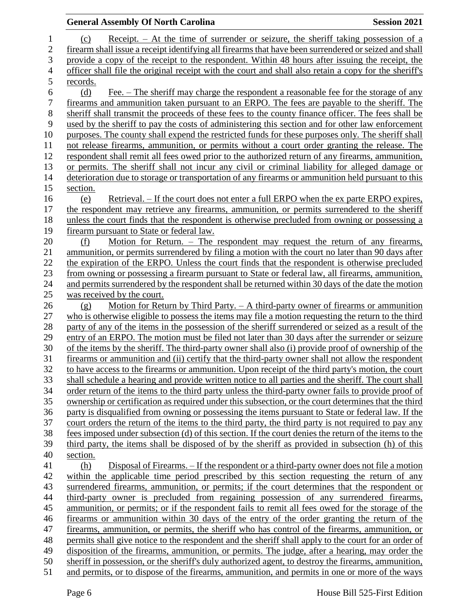| Receipt. – At the time of surrender or seizure, the sheriff taking possession of a<br>1<br>(c)<br>$\overline{2}$<br>firearm shall issue a receipt identifying all firearms that have been surrendered or seized and shall<br>3<br>provide a copy of the receipt to the respondent. Within 48 hours after issuing the receipt, the<br>$\overline{4}$<br>officer shall file the original receipt with the court and shall also retain a copy for the sheriff's<br>5<br>records.<br>$\boldsymbol{6}$<br>Fee. – The sheriff may charge the respondent a reasonable fee for the storage of any<br>(d)<br>$\boldsymbol{7}$<br>firearms and ammunition taken pursuant to an ERPO. The fees are payable to the sheriff. The<br>8<br>sheriff shall transmit the proceeds of these fees to the county finance officer. The fees shall be<br>9<br>used by the sheriff to pay the costs of administering this section and for other law enforcement<br>10<br>purposes. The county shall expend the restricted funds for these purposes only. The sheriff shall<br>not release firearms, ammunition, or permits without a court order granting the release. The<br>11<br>12<br>respondent shall remit all fees owed prior to the authorized return of any firearms, ammunition,<br>13<br>or permits. The sheriff shall not incur any civil or criminal liability for alleged damage or<br>14<br>deterioration due to storage or transportation of any firearms or ammunition held pursuant to this<br>15<br>section.<br>16<br>Retrieval. – If the court does not enter a full ERPO when the ex parte ERPO expires,<br>(e)<br>17<br>the respondent may retrieve any firearms, ammunition, or permits surrendered to the sheriff<br>18<br>unless the court finds that the respondent is otherwise precluded from owning or possessing a<br>19<br>firearm pursuant to State or federal law.<br>20<br>Motion for Return. – The respondent may request the return of any firearms,<br>(f)<br>21<br>ammunition, or permits surrendered by filing a motion with the court no later than 90 days after<br>22<br>the expiration of the ERPO. Unless the court finds that the respondent is otherwise precluded<br>23<br>from owning or possessing a firearm pursuant to State or federal law, all firearms, ammunition,<br>24<br>and permits surrendered by the respondent shall be returned within 30 days of the date the motion<br>25<br>was received by the court.<br>26<br>Motion for Return by Third Party. - A third-party owner of firearms or ammunition<br>(g)<br>27<br>who is otherwise eligible to possess the items may file a motion requesting the return to the third<br>28<br>party of any of the items in the possession of the sheriff surrendered or seized as a result of the<br>29<br>entry of an ERPO. The motion must be filed not later than 30 days after the surrender or seizure<br>30<br>of the items by the sheriff. The third-party owner shall also (i) provide proof of ownership of the<br>31<br>firearms or ammunition and (ii) certify that the third-party owner shall not allow the respondent<br>32<br>to have access to the firearms or ammunition. Upon receipt of the third party's motion, the court<br>33<br>shall schedule a hearing and provide written notice to all parties and the sheriff. The court shall<br>34<br>order return of the items to the third party unless the third-party owner fails to provide proof of<br>35<br>ownership or certification as required under this subsection, or the court determines that the third<br>party is disqualified from owning or possessing the items pursuant to State or federal law. If the<br>36<br>37<br>court orders the return of the items to the third party, the third party is not required to pay any<br>38<br>fees imposed under subsection (d) of this section. If the court denies the return of the items to the<br>39<br>third party, the items shall be disposed of by the sheriff as provided in subsection (h) of this<br>40<br>section.<br>Disposal of Firearms. – If the respondent or a third-party owner does not file a motion<br>41<br>(h)<br>42<br>within the applicable time period prescribed by this section requesting the return of any<br>43<br>surrendered firearms, ammunition, or permits; if the court determines that the respondent or<br>44<br>third-party owner is precluded from regaining possession of any surrendered firearms,<br>ammunition, or permits; or if the respondent fails to remit all fees owed for the storage of the<br>45<br>46<br>firearms or ammunition within 30 days of the entry of the order granting the return of the<br>47<br>firearms, ammunition, or permits, the sheriff who has control of the firearms, ammunition, or<br>48<br>permits shall give notice to the respondent and the sheriff shall apply to the court for an order of<br>49<br>disposition of the firearms, ammunition, or permits. The judge, after a hearing, may order the<br>50<br>sheriff in possession, or the sheriff's duly authorized agent, to destroy the firearms, ammunition, |    | <b>General Assembly Of North Carolina</b><br><b>Session 2021</b>                               |  |
|---------------------------------------------------------------------------------------------------------------------------------------------------------------------------------------------------------------------------------------------------------------------------------------------------------------------------------------------------------------------------------------------------------------------------------------------------------------------------------------------------------------------------------------------------------------------------------------------------------------------------------------------------------------------------------------------------------------------------------------------------------------------------------------------------------------------------------------------------------------------------------------------------------------------------------------------------------------------------------------------------------------------------------------------------------------------------------------------------------------------------------------------------------------------------------------------------------------------------------------------------------------------------------------------------------------------------------------------------------------------------------------------------------------------------------------------------------------------------------------------------------------------------------------------------------------------------------------------------------------------------------------------------------------------------------------------------------------------------------------------------------------------------------------------------------------------------------------------------------------------------------------------------------------------------------------------------------------------------------------------------------------------------------------------------------------------------------------------------------------------------------------------------------------------------------------------------------------------------------------------------------------------------------------------------------------------------------------------------------------------------------------------------------------------------------------------------------------------------------------------------------------------------------------------------------------------------------------------------------------------------------------------------------------------------------------------------------------------------------------------------------------------------------------------------------------------------------------------------------------------------------------------------------------------------------------------------------------------------------------------------------------------------------------------------------------------------------------------------------------------------------------------------------------------------------------------------------------------------------------------------------------------------------------------------------------------------------------------------------------------------------------------------------------------------------------------------------------------------------------------------------------------------------------------------------------------------------------------------------------------------------------------------------------------------------------------------------------------------------------------------------------------------------------------------------------------------------------------------------------------------------------------------------------------------------------------------------------------------------------------------------------------------------------------------------------------------------------------------------------------------------------------------------------------------------------------------------------------------------------------------------------------------------------------------------------------------------------------------------------------------------------------------------------------------------------------------------------------------------------------------------------------------------------------------------------------------------------------------------------------------------------------------------------------------------------------------------------------------------------------------------------------------------------------------------------------------------------------------------------------------------------------------------------------------------------------------------------------------------------------------------------------------------------------------------------------------------------------------------------|----|------------------------------------------------------------------------------------------------|--|
|                                                                                                                                                                                                                                                                                                                                                                                                                                                                                                                                                                                                                                                                                                                                                                                                                                                                                                                                                                                                                                                                                                                                                                                                                                                                                                                                                                                                                                                                                                                                                                                                                                                                                                                                                                                                                                                                                                                                                                                                                                                                                                                                                                                                                                                                                                                                                                                                                                                                                                                                                                                                                                                                                                                                                                                                                                                                                                                                                                                                                                                                                                                                                                                                                                                                                                                                                                                                                                                                                                                                                                                                                                                                                                                                                                                                                                                                                                                                                                                                                                                                                                                                                                                                                                                                                                                                                                                                                                                                                                                                                                                                                                                                                                                                                                                                                                                                                                                                                                                                                                                                                                               |    |                                                                                                |  |
|                                                                                                                                                                                                                                                                                                                                                                                                                                                                                                                                                                                                                                                                                                                                                                                                                                                                                                                                                                                                                                                                                                                                                                                                                                                                                                                                                                                                                                                                                                                                                                                                                                                                                                                                                                                                                                                                                                                                                                                                                                                                                                                                                                                                                                                                                                                                                                                                                                                                                                                                                                                                                                                                                                                                                                                                                                                                                                                                                                                                                                                                                                                                                                                                                                                                                                                                                                                                                                                                                                                                                                                                                                                                                                                                                                                                                                                                                                                                                                                                                                                                                                                                                                                                                                                                                                                                                                                                                                                                                                                                                                                                                                                                                                                                                                                                                                                                                                                                                                                                                                                                                                               |    |                                                                                                |  |
|                                                                                                                                                                                                                                                                                                                                                                                                                                                                                                                                                                                                                                                                                                                                                                                                                                                                                                                                                                                                                                                                                                                                                                                                                                                                                                                                                                                                                                                                                                                                                                                                                                                                                                                                                                                                                                                                                                                                                                                                                                                                                                                                                                                                                                                                                                                                                                                                                                                                                                                                                                                                                                                                                                                                                                                                                                                                                                                                                                                                                                                                                                                                                                                                                                                                                                                                                                                                                                                                                                                                                                                                                                                                                                                                                                                                                                                                                                                                                                                                                                                                                                                                                                                                                                                                                                                                                                                                                                                                                                                                                                                                                                                                                                                                                                                                                                                                                                                                                                                                                                                                                                               |    |                                                                                                |  |
|                                                                                                                                                                                                                                                                                                                                                                                                                                                                                                                                                                                                                                                                                                                                                                                                                                                                                                                                                                                                                                                                                                                                                                                                                                                                                                                                                                                                                                                                                                                                                                                                                                                                                                                                                                                                                                                                                                                                                                                                                                                                                                                                                                                                                                                                                                                                                                                                                                                                                                                                                                                                                                                                                                                                                                                                                                                                                                                                                                                                                                                                                                                                                                                                                                                                                                                                                                                                                                                                                                                                                                                                                                                                                                                                                                                                                                                                                                                                                                                                                                                                                                                                                                                                                                                                                                                                                                                                                                                                                                                                                                                                                                                                                                                                                                                                                                                                                                                                                                                                                                                                                                               |    |                                                                                                |  |
|                                                                                                                                                                                                                                                                                                                                                                                                                                                                                                                                                                                                                                                                                                                                                                                                                                                                                                                                                                                                                                                                                                                                                                                                                                                                                                                                                                                                                                                                                                                                                                                                                                                                                                                                                                                                                                                                                                                                                                                                                                                                                                                                                                                                                                                                                                                                                                                                                                                                                                                                                                                                                                                                                                                                                                                                                                                                                                                                                                                                                                                                                                                                                                                                                                                                                                                                                                                                                                                                                                                                                                                                                                                                                                                                                                                                                                                                                                                                                                                                                                                                                                                                                                                                                                                                                                                                                                                                                                                                                                                                                                                                                                                                                                                                                                                                                                                                                                                                                                                                                                                                                                               |    |                                                                                                |  |
|                                                                                                                                                                                                                                                                                                                                                                                                                                                                                                                                                                                                                                                                                                                                                                                                                                                                                                                                                                                                                                                                                                                                                                                                                                                                                                                                                                                                                                                                                                                                                                                                                                                                                                                                                                                                                                                                                                                                                                                                                                                                                                                                                                                                                                                                                                                                                                                                                                                                                                                                                                                                                                                                                                                                                                                                                                                                                                                                                                                                                                                                                                                                                                                                                                                                                                                                                                                                                                                                                                                                                                                                                                                                                                                                                                                                                                                                                                                                                                                                                                                                                                                                                                                                                                                                                                                                                                                                                                                                                                                                                                                                                                                                                                                                                                                                                                                                                                                                                                                                                                                                                                               |    |                                                                                                |  |
|                                                                                                                                                                                                                                                                                                                                                                                                                                                                                                                                                                                                                                                                                                                                                                                                                                                                                                                                                                                                                                                                                                                                                                                                                                                                                                                                                                                                                                                                                                                                                                                                                                                                                                                                                                                                                                                                                                                                                                                                                                                                                                                                                                                                                                                                                                                                                                                                                                                                                                                                                                                                                                                                                                                                                                                                                                                                                                                                                                                                                                                                                                                                                                                                                                                                                                                                                                                                                                                                                                                                                                                                                                                                                                                                                                                                                                                                                                                                                                                                                                                                                                                                                                                                                                                                                                                                                                                                                                                                                                                                                                                                                                                                                                                                                                                                                                                                                                                                                                                                                                                                                                               |    |                                                                                                |  |
|                                                                                                                                                                                                                                                                                                                                                                                                                                                                                                                                                                                                                                                                                                                                                                                                                                                                                                                                                                                                                                                                                                                                                                                                                                                                                                                                                                                                                                                                                                                                                                                                                                                                                                                                                                                                                                                                                                                                                                                                                                                                                                                                                                                                                                                                                                                                                                                                                                                                                                                                                                                                                                                                                                                                                                                                                                                                                                                                                                                                                                                                                                                                                                                                                                                                                                                                                                                                                                                                                                                                                                                                                                                                                                                                                                                                                                                                                                                                                                                                                                                                                                                                                                                                                                                                                                                                                                                                                                                                                                                                                                                                                                                                                                                                                                                                                                                                                                                                                                                                                                                                                                               |    |                                                                                                |  |
|                                                                                                                                                                                                                                                                                                                                                                                                                                                                                                                                                                                                                                                                                                                                                                                                                                                                                                                                                                                                                                                                                                                                                                                                                                                                                                                                                                                                                                                                                                                                                                                                                                                                                                                                                                                                                                                                                                                                                                                                                                                                                                                                                                                                                                                                                                                                                                                                                                                                                                                                                                                                                                                                                                                                                                                                                                                                                                                                                                                                                                                                                                                                                                                                                                                                                                                                                                                                                                                                                                                                                                                                                                                                                                                                                                                                                                                                                                                                                                                                                                                                                                                                                                                                                                                                                                                                                                                                                                                                                                                                                                                                                                                                                                                                                                                                                                                                                                                                                                                                                                                                                                               |    |                                                                                                |  |
|                                                                                                                                                                                                                                                                                                                                                                                                                                                                                                                                                                                                                                                                                                                                                                                                                                                                                                                                                                                                                                                                                                                                                                                                                                                                                                                                                                                                                                                                                                                                                                                                                                                                                                                                                                                                                                                                                                                                                                                                                                                                                                                                                                                                                                                                                                                                                                                                                                                                                                                                                                                                                                                                                                                                                                                                                                                                                                                                                                                                                                                                                                                                                                                                                                                                                                                                                                                                                                                                                                                                                                                                                                                                                                                                                                                                                                                                                                                                                                                                                                                                                                                                                                                                                                                                                                                                                                                                                                                                                                                                                                                                                                                                                                                                                                                                                                                                                                                                                                                                                                                                                                               |    |                                                                                                |  |
|                                                                                                                                                                                                                                                                                                                                                                                                                                                                                                                                                                                                                                                                                                                                                                                                                                                                                                                                                                                                                                                                                                                                                                                                                                                                                                                                                                                                                                                                                                                                                                                                                                                                                                                                                                                                                                                                                                                                                                                                                                                                                                                                                                                                                                                                                                                                                                                                                                                                                                                                                                                                                                                                                                                                                                                                                                                                                                                                                                                                                                                                                                                                                                                                                                                                                                                                                                                                                                                                                                                                                                                                                                                                                                                                                                                                                                                                                                                                                                                                                                                                                                                                                                                                                                                                                                                                                                                                                                                                                                                                                                                                                                                                                                                                                                                                                                                                                                                                                                                                                                                                                                               |    |                                                                                                |  |
|                                                                                                                                                                                                                                                                                                                                                                                                                                                                                                                                                                                                                                                                                                                                                                                                                                                                                                                                                                                                                                                                                                                                                                                                                                                                                                                                                                                                                                                                                                                                                                                                                                                                                                                                                                                                                                                                                                                                                                                                                                                                                                                                                                                                                                                                                                                                                                                                                                                                                                                                                                                                                                                                                                                                                                                                                                                                                                                                                                                                                                                                                                                                                                                                                                                                                                                                                                                                                                                                                                                                                                                                                                                                                                                                                                                                                                                                                                                                                                                                                                                                                                                                                                                                                                                                                                                                                                                                                                                                                                                                                                                                                                                                                                                                                                                                                                                                                                                                                                                                                                                                                                               |    |                                                                                                |  |
|                                                                                                                                                                                                                                                                                                                                                                                                                                                                                                                                                                                                                                                                                                                                                                                                                                                                                                                                                                                                                                                                                                                                                                                                                                                                                                                                                                                                                                                                                                                                                                                                                                                                                                                                                                                                                                                                                                                                                                                                                                                                                                                                                                                                                                                                                                                                                                                                                                                                                                                                                                                                                                                                                                                                                                                                                                                                                                                                                                                                                                                                                                                                                                                                                                                                                                                                                                                                                                                                                                                                                                                                                                                                                                                                                                                                                                                                                                                                                                                                                                                                                                                                                                                                                                                                                                                                                                                                                                                                                                                                                                                                                                                                                                                                                                                                                                                                                                                                                                                                                                                                                                               |    |                                                                                                |  |
|                                                                                                                                                                                                                                                                                                                                                                                                                                                                                                                                                                                                                                                                                                                                                                                                                                                                                                                                                                                                                                                                                                                                                                                                                                                                                                                                                                                                                                                                                                                                                                                                                                                                                                                                                                                                                                                                                                                                                                                                                                                                                                                                                                                                                                                                                                                                                                                                                                                                                                                                                                                                                                                                                                                                                                                                                                                                                                                                                                                                                                                                                                                                                                                                                                                                                                                                                                                                                                                                                                                                                                                                                                                                                                                                                                                                                                                                                                                                                                                                                                                                                                                                                                                                                                                                                                                                                                                                                                                                                                                                                                                                                                                                                                                                                                                                                                                                                                                                                                                                                                                                                                               |    |                                                                                                |  |
|                                                                                                                                                                                                                                                                                                                                                                                                                                                                                                                                                                                                                                                                                                                                                                                                                                                                                                                                                                                                                                                                                                                                                                                                                                                                                                                                                                                                                                                                                                                                                                                                                                                                                                                                                                                                                                                                                                                                                                                                                                                                                                                                                                                                                                                                                                                                                                                                                                                                                                                                                                                                                                                                                                                                                                                                                                                                                                                                                                                                                                                                                                                                                                                                                                                                                                                                                                                                                                                                                                                                                                                                                                                                                                                                                                                                                                                                                                                                                                                                                                                                                                                                                                                                                                                                                                                                                                                                                                                                                                                                                                                                                                                                                                                                                                                                                                                                                                                                                                                                                                                                                                               |    |                                                                                                |  |
|                                                                                                                                                                                                                                                                                                                                                                                                                                                                                                                                                                                                                                                                                                                                                                                                                                                                                                                                                                                                                                                                                                                                                                                                                                                                                                                                                                                                                                                                                                                                                                                                                                                                                                                                                                                                                                                                                                                                                                                                                                                                                                                                                                                                                                                                                                                                                                                                                                                                                                                                                                                                                                                                                                                                                                                                                                                                                                                                                                                                                                                                                                                                                                                                                                                                                                                                                                                                                                                                                                                                                                                                                                                                                                                                                                                                                                                                                                                                                                                                                                                                                                                                                                                                                                                                                                                                                                                                                                                                                                                                                                                                                                                                                                                                                                                                                                                                                                                                                                                                                                                                                                               |    |                                                                                                |  |
|                                                                                                                                                                                                                                                                                                                                                                                                                                                                                                                                                                                                                                                                                                                                                                                                                                                                                                                                                                                                                                                                                                                                                                                                                                                                                                                                                                                                                                                                                                                                                                                                                                                                                                                                                                                                                                                                                                                                                                                                                                                                                                                                                                                                                                                                                                                                                                                                                                                                                                                                                                                                                                                                                                                                                                                                                                                                                                                                                                                                                                                                                                                                                                                                                                                                                                                                                                                                                                                                                                                                                                                                                                                                                                                                                                                                                                                                                                                                                                                                                                                                                                                                                                                                                                                                                                                                                                                                                                                                                                                                                                                                                                                                                                                                                                                                                                                                                                                                                                                                                                                                                                               |    |                                                                                                |  |
|                                                                                                                                                                                                                                                                                                                                                                                                                                                                                                                                                                                                                                                                                                                                                                                                                                                                                                                                                                                                                                                                                                                                                                                                                                                                                                                                                                                                                                                                                                                                                                                                                                                                                                                                                                                                                                                                                                                                                                                                                                                                                                                                                                                                                                                                                                                                                                                                                                                                                                                                                                                                                                                                                                                                                                                                                                                                                                                                                                                                                                                                                                                                                                                                                                                                                                                                                                                                                                                                                                                                                                                                                                                                                                                                                                                                                                                                                                                                                                                                                                                                                                                                                                                                                                                                                                                                                                                                                                                                                                                                                                                                                                                                                                                                                                                                                                                                                                                                                                                                                                                                                                               |    |                                                                                                |  |
|                                                                                                                                                                                                                                                                                                                                                                                                                                                                                                                                                                                                                                                                                                                                                                                                                                                                                                                                                                                                                                                                                                                                                                                                                                                                                                                                                                                                                                                                                                                                                                                                                                                                                                                                                                                                                                                                                                                                                                                                                                                                                                                                                                                                                                                                                                                                                                                                                                                                                                                                                                                                                                                                                                                                                                                                                                                                                                                                                                                                                                                                                                                                                                                                                                                                                                                                                                                                                                                                                                                                                                                                                                                                                                                                                                                                                                                                                                                                                                                                                                                                                                                                                                                                                                                                                                                                                                                                                                                                                                                                                                                                                                                                                                                                                                                                                                                                                                                                                                                                                                                                                                               |    |                                                                                                |  |
|                                                                                                                                                                                                                                                                                                                                                                                                                                                                                                                                                                                                                                                                                                                                                                                                                                                                                                                                                                                                                                                                                                                                                                                                                                                                                                                                                                                                                                                                                                                                                                                                                                                                                                                                                                                                                                                                                                                                                                                                                                                                                                                                                                                                                                                                                                                                                                                                                                                                                                                                                                                                                                                                                                                                                                                                                                                                                                                                                                                                                                                                                                                                                                                                                                                                                                                                                                                                                                                                                                                                                                                                                                                                                                                                                                                                                                                                                                                                                                                                                                                                                                                                                                                                                                                                                                                                                                                                                                                                                                                                                                                                                                                                                                                                                                                                                                                                                                                                                                                                                                                                                                               |    |                                                                                                |  |
|                                                                                                                                                                                                                                                                                                                                                                                                                                                                                                                                                                                                                                                                                                                                                                                                                                                                                                                                                                                                                                                                                                                                                                                                                                                                                                                                                                                                                                                                                                                                                                                                                                                                                                                                                                                                                                                                                                                                                                                                                                                                                                                                                                                                                                                                                                                                                                                                                                                                                                                                                                                                                                                                                                                                                                                                                                                                                                                                                                                                                                                                                                                                                                                                                                                                                                                                                                                                                                                                                                                                                                                                                                                                                                                                                                                                                                                                                                                                                                                                                                                                                                                                                                                                                                                                                                                                                                                                                                                                                                                                                                                                                                                                                                                                                                                                                                                                                                                                                                                                                                                                                                               |    |                                                                                                |  |
|                                                                                                                                                                                                                                                                                                                                                                                                                                                                                                                                                                                                                                                                                                                                                                                                                                                                                                                                                                                                                                                                                                                                                                                                                                                                                                                                                                                                                                                                                                                                                                                                                                                                                                                                                                                                                                                                                                                                                                                                                                                                                                                                                                                                                                                                                                                                                                                                                                                                                                                                                                                                                                                                                                                                                                                                                                                                                                                                                                                                                                                                                                                                                                                                                                                                                                                                                                                                                                                                                                                                                                                                                                                                                                                                                                                                                                                                                                                                                                                                                                                                                                                                                                                                                                                                                                                                                                                                                                                                                                                                                                                                                                                                                                                                                                                                                                                                                                                                                                                                                                                                                                               |    |                                                                                                |  |
|                                                                                                                                                                                                                                                                                                                                                                                                                                                                                                                                                                                                                                                                                                                                                                                                                                                                                                                                                                                                                                                                                                                                                                                                                                                                                                                                                                                                                                                                                                                                                                                                                                                                                                                                                                                                                                                                                                                                                                                                                                                                                                                                                                                                                                                                                                                                                                                                                                                                                                                                                                                                                                                                                                                                                                                                                                                                                                                                                                                                                                                                                                                                                                                                                                                                                                                                                                                                                                                                                                                                                                                                                                                                                                                                                                                                                                                                                                                                                                                                                                                                                                                                                                                                                                                                                                                                                                                                                                                                                                                                                                                                                                                                                                                                                                                                                                                                                                                                                                                                                                                                                                               |    |                                                                                                |  |
|                                                                                                                                                                                                                                                                                                                                                                                                                                                                                                                                                                                                                                                                                                                                                                                                                                                                                                                                                                                                                                                                                                                                                                                                                                                                                                                                                                                                                                                                                                                                                                                                                                                                                                                                                                                                                                                                                                                                                                                                                                                                                                                                                                                                                                                                                                                                                                                                                                                                                                                                                                                                                                                                                                                                                                                                                                                                                                                                                                                                                                                                                                                                                                                                                                                                                                                                                                                                                                                                                                                                                                                                                                                                                                                                                                                                                                                                                                                                                                                                                                                                                                                                                                                                                                                                                                                                                                                                                                                                                                                                                                                                                                                                                                                                                                                                                                                                                                                                                                                                                                                                                                               |    |                                                                                                |  |
|                                                                                                                                                                                                                                                                                                                                                                                                                                                                                                                                                                                                                                                                                                                                                                                                                                                                                                                                                                                                                                                                                                                                                                                                                                                                                                                                                                                                                                                                                                                                                                                                                                                                                                                                                                                                                                                                                                                                                                                                                                                                                                                                                                                                                                                                                                                                                                                                                                                                                                                                                                                                                                                                                                                                                                                                                                                                                                                                                                                                                                                                                                                                                                                                                                                                                                                                                                                                                                                                                                                                                                                                                                                                                                                                                                                                                                                                                                                                                                                                                                                                                                                                                                                                                                                                                                                                                                                                                                                                                                                                                                                                                                                                                                                                                                                                                                                                                                                                                                                                                                                                                                               |    |                                                                                                |  |
|                                                                                                                                                                                                                                                                                                                                                                                                                                                                                                                                                                                                                                                                                                                                                                                                                                                                                                                                                                                                                                                                                                                                                                                                                                                                                                                                                                                                                                                                                                                                                                                                                                                                                                                                                                                                                                                                                                                                                                                                                                                                                                                                                                                                                                                                                                                                                                                                                                                                                                                                                                                                                                                                                                                                                                                                                                                                                                                                                                                                                                                                                                                                                                                                                                                                                                                                                                                                                                                                                                                                                                                                                                                                                                                                                                                                                                                                                                                                                                                                                                                                                                                                                                                                                                                                                                                                                                                                                                                                                                                                                                                                                                                                                                                                                                                                                                                                                                                                                                                                                                                                                                               |    |                                                                                                |  |
|                                                                                                                                                                                                                                                                                                                                                                                                                                                                                                                                                                                                                                                                                                                                                                                                                                                                                                                                                                                                                                                                                                                                                                                                                                                                                                                                                                                                                                                                                                                                                                                                                                                                                                                                                                                                                                                                                                                                                                                                                                                                                                                                                                                                                                                                                                                                                                                                                                                                                                                                                                                                                                                                                                                                                                                                                                                                                                                                                                                                                                                                                                                                                                                                                                                                                                                                                                                                                                                                                                                                                                                                                                                                                                                                                                                                                                                                                                                                                                                                                                                                                                                                                                                                                                                                                                                                                                                                                                                                                                                                                                                                                                                                                                                                                                                                                                                                                                                                                                                                                                                                                                               |    |                                                                                                |  |
|                                                                                                                                                                                                                                                                                                                                                                                                                                                                                                                                                                                                                                                                                                                                                                                                                                                                                                                                                                                                                                                                                                                                                                                                                                                                                                                                                                                                                                                                                                                                                                                                                                                                                                                                                                                                                                                                                                                                                                                                                                                                                                                                                                                                                                                                                                                                                                                                                                                                                                                                                                                                                                                                                                                                                                                                                                                                                                                                                                                                                                                                                                                                                                                                                                                                                                                                                                                                                                                                                                                                                                                                                                                                                                                                                                                                                                                                                                                                                                                                                                                                                                                                                                                                                                                                                                                                                                                                                                                                                                                                                                                                                                                                                                                                                                                                                                                                                                                                                                                                                                                                                                               |    |                                                                                                |  |
|                                                                                                                                                                                                                                                                                                                                                                                                                                                                                                                                                                                                                                                                                                                                                                                                                                                                                                                                                                                                                                                                                                                                                                                                                                                                                                                                                                                                                                                                                                                                                                                                                                                                                                                                                                                                                                                                                                                                                                                                                                                                                                                                                                                                                                                                                                                                                                                                                                                                                                                                                                                                                                                                                                                                                                                                                                                                                                                                                                                                                                                                                                                                                                                                                                                                                                                                                                                                                                                                                                                                                                                                                                                                                                                                                                                                                                                                                                                                                                                                                                                                                                                                                                                                                                                                                                                                                                                                                                                                                                                                                                                                                                                                                                                                                                                                                                                                                                                                                                                                                                                                                                               |    |                                                                                                |  |
|                                                                                                                                                                                                                                                                                                                                                                                                                                                                                                                                                                                                                                                                                                                                                                                                                                                                                                                                                                                                                                                                                                                                                                                                                                                                                                                                                                                                                                                                                                                                                                                                                                                                                                                                                                                                                                                                                                                                                                                                                                                                                                                                                                                                                                                                                                                                                                                                                                                                                                                                                                                                                                                                                                                                                                                                                                                                                                                                                                                                                                                                                                                                                                                                                                                                                                                                                                                                                                                                                                                                                                                                                                                                                                                                                                                                                                                                                                                                                                                                                                                                                                                                                                                                                                                                                                                                                                                                                                                                                                                                                                                                                                                                                                                                                                                                                                                                                                                                                                                                                                                                                                               |    |                                                                                                |  |
|                                                                                                                                                                                                                                                                                                                                                                                                                                                                                                                                                                                                                                                                                                                                                                                                                                                                                                                                                                                                                                                                                                                                                                                                                                                                                                                                                                                                                                                                                                                                                                                                                                                                                                                                                                                                                                                                                                                                                                                                                                                                                                                                                                                                                                                                                                                                                                                                                                                                                                                                                                                                                                                                                                                                                                                                                                                                                                                                                                                                                                                                                                                                                                                                                                                                                                                                                                                                                                                                                                                                                                                                                                                                                                                                                                                                                                                                                                                                                                                                                                                                                                                                                                                                                                                                                                                                                                                                                                                                                                                                                                                                                                                                                                                                                                                                                                                                                                                                                                                                                                                                                                               |    |                                                                                                |  |
|                                                                                                                                                                                                                                                                                                                                                                                                                                                                                                                                                                                                                                                                                                                                                                                                                                                                                                                                                                                                                                                                                                                                                                                                                                                                                                                                                                                                                                                                                                                                                                                                                                                                                                                                                                                                                                                                                                                                                                                                                                                                                                                                                                                                                                                                                                                                                                                                                                                                                                                                                                                                                                                                                                                                                                                                                                                                                                                                                                                                                                                                                                                                                                                                                                                                                                                                                                                                                                                                                                                                                                                                                                                                                                                                                                                                                                                                                                                                                                                                                                                                                                                                                                                                                                                                                                                                                                                                                                                                                                                                                                                                                                                                                                                                                                                                                                                                                                                                                                                                                                                                                                               |    |                                                                                                |  |
|                                                                                                                                                                                                                                                                                                                                                                                                                                                                                                                                                                                                                                                                                                                                                                                                                                                                                                                                                                                                                                                                                                                                                                                                                                                                                                                                                                                                                                                                                                                                                                                                                                                                                                                                                                                                                                                                                                                                                                                                                                                                                                                                                                                                                                                                                                                                                                                                                                                                                                                                                                                                                                                                                                                                                                                                                                                                                                                                                                                                                                                                                                                                                                                                                                                                                                                                                                                                                                                                                                                                                                                                                                                                                                                                                                                                                                                                                                                                                                                                                                                                                                                                                                                                                                                                                                                                                                                                                                                                                                                                                                                                                                                                                                                                                                                                                                                                                                                                                                                                                                                                                                               |    |                                                                                                |  |
|                                                                                                                                                                                                                                                                                                                                                                                                                                                                                                                                                                                                                                                                                                                                                                                                                                                                                                                                                                                                                                                                                                                                                                                                                                                                                                                                                                                                                                                                                                                                                                                                                                                                                                                                                                                                                                                                                                                                                                                                                                                                                                                                                                                                                                                                                                                                                                                                                                                                                                                                                                                                                                                                                                                                                                                                                                                                                                                                                                                                                                                                                                                                                                                                                                                                                                                                                                                                                                                                                                                                                                                                                                                                                                                                                                                                                                                                                                                                                                                                                                                                                                                                                                                                                                                                                                                                                                                                                                                                                                                                                                                                                                                                                                                                                                                                                                                                                                                                                                                                                                                                                                               |    |                                                                                                |  |
|                                                                                                                                                                                                                                                                                                                                                                                                                                                                                                                                                                                                                                                                                                                                                                                                                                                                                                                                                                                                                                                                                                                                                                                                                                                                                                                                                                                                                                                                                                                                                                                                                                                                                                                                                                                                                                                                                                                                                                                                                                                                                                                                                                                                                                                                                                                                                                                                                                                                                                                                                                                                                                                                                                                                                                                                                                                                                                                                                                                                                                                                                                                                                                                                                                                                                                                                                                                                                                                                                                                                                                                                                                                                                                                                                                                                                                                                                                                                                                                                                                                                                                                                                                                                                                                                                                                                                                                                                                                                                                                                                                                                                                                                                                                                                                                                                                                                                                                                                                                                                                                                                                               |    |                                                                                                |  |
|                                                                                                                                                                                                                                                                                                                                                                                                                                                                                                                                                                                                                                                                                                                                                                                                                                                                                                                                                                                                                                                                                                                                                                                                                                                                                                                                                                                                                                                                                                                                                                                                                                                                                                                                                                                                                                                                                                                                                                                                                                                                                                                                                                                                                                                                                                                                                                                                                                                                                                                                                                                                                                                                                                                                                                                                                                                                                                                                                                                                                                                                                                                                                                                                                                                                                                                                                                                                                                                                                                                                                                                                                                                                                                                                                                                                                                                                                                                                                                                                                                                                                                                                                                                                                                                                                                                                                                                                                                                                                                                                                                                                                                                                                                                                                                                                                                                                                                                                                                                                                                                                                                               |    |                                                                                                |  |
|                                                                                                                                                                                                                                                                                                                                                                                                                                                                                                                                                                                                                                                                                                                                                                                                                                                                                                                                                                                                                                                                                                                                                                                                                                                                                                                                                                                                                                                                                                                                                                                                                                                                                                                                                                                                                                                                                                                                                                                                                                                                                                                                                                                                                                                                                                                                                                                                                                                                                                                                                                                                                                                                                                                                                                                                                                                                                                                                                                                                                                                                                                                                                                                                                                                                                                                                                                                                                                                                                                                                                                                                                                                                                                                                                                                                                                                                                                                                                                                                                                                                                                                                                                                                                                                                                                                                                                                                                                                                                                                                                                                                                                                                                                                                                                                                                                                                                                                                                                                                                                                                                                               |    |                                                                                                |  |
|                                                                                                                                                                                                                                                                                                                                                                                                                                                                                                                                                                                                                                                                                                                                                                                                                                                                                                                                                                                                                                                                                                                                                                                                                                                                                                                                                                                                                                                                                                                                                                                                                                                                                                                                                                                                                                                                                                                                                                                                                                                                                                                                                                                                                                                                                                                                                                                                                                                                                                                                                                                                                                                                                                                                                                                                                                                                                                                                                                                                                                                                                                                                                                                                                                                                                                                                                                                                                                                                                                                                                                                                                                                                                                                                                                                                                                                                                                                                                                                                                                                                                                                                                                                                                                                                                                                                                                                                                                                                                                                                                                                                                                                                                                                                                                                                                                                                                                                                                                                                                                                                                                               |    |                                                                                                |  |
|                                                                                                                                                                                                                                                                                                                                                                                                                                                                                                                                                                                                                                                                                                                                                                                                                                                                                                                                                                                                                                                                                                                                                                                                                                                                                                                                                                                                                                                                                                                                                                                                                                                                                                                                                                                                                                                                                                                                                                                                                                                                                                                                                                                                                                                                                                                                                                                                                                                                                                                                                                                                                                                                                                                                                                                                                                                                                                                                                                                                                                                                                                                                                                                                                                                                                                                                                                                                                                                                                                                                                                                                                                                                                                                                                                                                                                                                                                                                                                                                                                                                                                                                                                                                                                                                                                                                                                                                                                                                                                                                                                                                                                                                                                                                                                                                                                                                                                                                                                                                                                                                                                               |    |                                                                                                |  |
|                                                                                                                                                                                                                                                                                                                                                                                                                                                                                                                                                                                                                                                                                                                                                                                                                                                                                                                                                                                                                                                                                                                                                                                                                                                                                                                                                                                                                                                                                                                                                                                                                                                                                                                                                                                                                                                                                                                                                                                                                                                                                                                                                                                                                                                                                                                                                                                                                                                                                                                                                                                                                                                                                                                                                                                                                                                                                                                                                                                                                                                                                                                                                                                                                                                                                                                                                                                                                                                                                                                                                                                                                                                                                                                                                                                                                                                                                                                                                                                                                                                                                                                                                                                                                                                                                                                                                                                                                                                                                                                                                                                                                                                                                                                                                                                                                                                                                                                                                                                                                                                                                                               |    |                                                                                                |  |
|                                                                                                                                                                                                                                                                                                                                                                                                                                                                                                                                                                                                                                                                                                                                                                                                                                                                                                                                                                                                                                                                                                                                                                                                                                                                                                                                                                                                                                                                                                                                                                                                                                                                                                                                                                                                                                                                                                                                                                                                                                                                                                                                                                                                                                                                                                                                                                                                                                                                                                                                                                                                                                                                                                                                                                                                                                                                                                                                                                                                                                                                                                                                                                                                                                                                                                                                                                                                                                                                                                                                                                                                                                                                                                                                                                                                                                                                                                                                                                                                                                                                                                                                                                                                                                                                                                                                                                                                                                                                                                                                                                                                                                                                                                                                                                                                                                                                                                                                                                                                                                                                                                               |    |                                                                                                |  |
|                                                                                                                                                                                                                                                                                                                                                                                                                                                                                                                                                                                                                                                                                                                                                                                                                                                                                                                                                                                                                                                                                                                                                                                                                                                                                                                                                                                                                                                                                                                                                                                                                                                                                                                                                                                                                                                                                                                                                                                                                                                                                                                                                                                                                                                                                                                                                                                                                                                                                                                                                                                                                                                                                                                                                                                                                                                                                                                                                                                                                                                                                                                                                                                                                                                                                                                                                                                                                                                                                                                                                                                                                                                                                                                                                                                                                                                                                                                                                                                                                                                                                                                                                                                                                                                                                                                                                                                                                                                                                                                                                                                                                                                                                                                                                                                                                                                                                                                                                                                                                                                                                                               |    |                                                                                                |  |
|                                                                                                                                                                                                                                                                                                                                                                                                                                                                                                                                                                                                                                                                                                                                                                                                                                                                                                                                                                                                                                                                                                                                                                                                                                                                                                                                                                                                                                                                                                                                                                                                                                                                                                                                                                                                                                                                                                                                                                                                                                                                                                                                                                                                                                                                                                                                                                                                                                                                                                                                                                                                                                                                                                                                                                                                                                                                                                                                                                                                                                                                                                                                                                                                                                                                                                                                                                                                                                                                                                                                                                                                                                                                                                                                                                                                                                                                                                                                                                                                                                                                                                                                                                                                                                                                                                                                                                                                                                                                                                                                                                                                                                                                                                                                                                                                                                                                                                                                                                                                                                                                                                               |    |                                                                                                |  |
|                                                                                                                                                                                                                                                                                                                                                                                                                                                                                                                                                                                                                                                                                                                                                                                                                                                                                                                                                                                                                                                                                                                                                                                                                                                                                                                                                                                                                                                                                                                                                                                                                                                                                                                                                                                                                                                                                                                                                                                                                                                                                                                                                                                                                                                                                                                                                                                                                                                                                                                                                                                                                                                                                                                                                                                                                                                                                                                                                                                                                                                                                                                                                                                                                                                                                                                                                                                                                                                                                                                                                                                                                                                                                                                                                                                                                                                                                                                                                                                                                                                                                                                                                                                                                                                                                                                                                                                                                                                                                                                                                                                                                                                                                                                                                                                                                                                                                                                                                                                                                                                                                                               |    |                                                                                                |  |
|                                                                                                                                                                                                                                                                                                                                                                                                                                                                                                                                                                                                                                                                                                                                                                                                                                                                                                                                                                                                                                                                                                                                                                                                                                                                                                                                                                                                                                                                                                                                                                                                                                                                                                                                                                                                                                                                                                                                                                                                                                                                                                                                                                                                                                                                                                                                                                                                                                                                                                                                                                                                                                                                                                                                                                                                                                                                                                                                                                                                                                                                                                                                                                                                                                                                                                                                                                                                                                                                                                                                                                                                                                                                                                                                                                                                                                                                                                                                                                                                                                                                                                                                                                                                                                                                                                                                                                                                                                                                                                                                                                                                                                                                                                                                                                                                                                                                                                                                                                                                                                                                                                               |    |                                                                                                |  |
|                                                                                                                                                                                                                                                                                                                                                                                                                                                                                                                                                                                                                                                                                                                                                                                                                                                                                                                                                                                                                                                                                                                                                                                                                                                                                                                                                                                                                                                                                                                                                                                                                                                                                                                                                                                                                                                                                                                                                                                                                                                                                                                                                                                                                                                                                                                                                                                                                                                                                                                                                                                                                                                                                                                                                                                                                                                                                                                                                                                                                                                                                                                                                                                                                                                                                                                                                                                                                                                                                                                                                                                                                                                                                                                                                                                                                                                                                                                                                                                                                                                                                                                                                                                                                                                                                                                                                                                                                                                                                                                                                                                                                                                                                                                                                                                                                                                                                                                                                                                                                                                                                                               |    |                                                                                                |  |
|                                                                                                                                                                                                                                                                                                                                                                                                                                                                                                                                                                                                                                                                                                                                                                                                                                                                                                                                                                                                                                                                                                                                                                                                                                                                                                                                                                                                                                                                                                                                                                                                                                                                                                                                                                                                                                                                                                                                                                                                                                                                                                                                                                                                                                                                                                                                                                                                                                                                                                                                                                                                                                                                                                                                                                                                                                                                                                                                                                                                                                                                                                                                                                                                                                                                                                                                                                                                                                                                                                                                                                                                                                                                                                                                                                                                                                                                                                                                                                                                                                                                                                                                                                                                                                                                                                                                                                                                                                                                                                                                                                                                                                                                                                                                                                                                                                                                                                                                                                                                                                                                                                               |    |                                                                                                |  |
|                                                                                                                                                                                                                                                                                                                                                                                                                                                                                                                                                                                                                                                                                                                                                                                                                                                                                                                                                                                                                                                                                                                                                                                                                                                                                                                                                                                                                                                                                                                                                                                                                                                                                                                                                                                                                                                                                                                                                                                                                                                                                                                                                                                                                                                                                                                                                                                                                                                                                                                                                                                                                                                                                                                                                                                                                                                                                                                                                                                                                                                                                                                                                                                                                                                                                                                                                                                                                                                                                                                                                                                                                                                                                                                                                                                                                                                                                                                                                                                                                                                                                                                                                                                                                                                                                                                                                                                                                                                                                                                                                                                                                                                                                                                                                                                                                                                                                                                                                                                                                                                                                                               |    |                                                                                                |  |
|                                                                                                                                                                                                                                                                                                                                                                                                                                                                                                                                                                                                                                                                                                                                                                                                                                                                                                                                                                                                                                                                                                                                                                                                                                                                                                                                                                                                                                                                                                                                                                                                                                                                                                                                                                                                                                                                                                                                                                                                                                                                                                                                                                                                                                                                                                                                                                                                                                                                                                                                                                                                                                                                                                                                                                                                                                                                                                                                                                                                                                                                                                                                                                                                                                                                                                                                                                                                                                                                                                                                                                                                                                                                                                                                                                                                                                                                                                                                                                                                                                                                                                                                                                                                                                                                                                                                                                                                                                                                                                                                                                                                                                                                                                                                                                                                                                                                                                                                                                                                                                                                                                               |    |                                                                                                |  |
|                                                                                                                                                                                                                                                                                                                                                                                                                                                                                                                                                                                                                                                                                                                                                                                                                                                                                                                                                                                                                                                                                                                                                                                                                                                                                                                                                                                                                                                                                                                                                                                                                                                                                                                                                                                                                                                                                                                                                                                                                                                                                                                                                                                                                                                                                                                                                                                                                                                                                                                                                                                                                                                                                                                                                                                                                                                                                                                                                                                                                                                                                                                                                                                                                                                                                                                                                                                                                                                                                                                                                                                                                                                                                                                                                                                                                                                                                                                                                                                                                                                                                                                                                                                                                                                                                                                                                                                                                                                                                                                                                                                                                                                                                                                                                                                                                                                                                                                                                                                                                                                                                                               | 51 | and permits, or to dispose of the firearms, ammunition, and permits in one or more of the ways |  |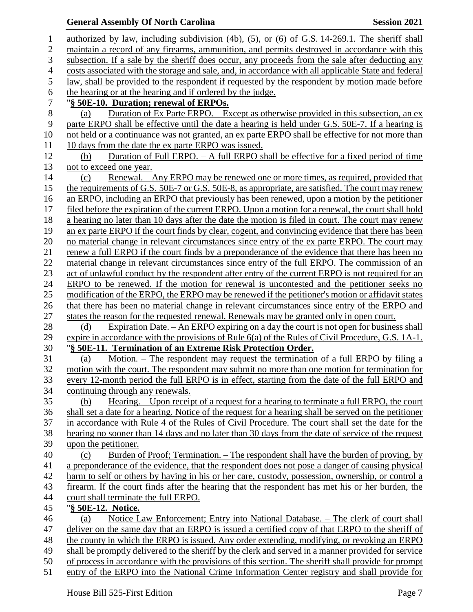#### **General Assembly Of North Carolina Session 2021**

 authorized by law, including subdivision (4b), (5), or (6) of G.S. 14-269.1. The sheriff shall maintain a record of any firearms, ammunition, and permits destroyed in accordance with this subsection. If a sale by the sheriff does occur, any proceeds from the sale after deducting any costs associated with the storage and sale, and, in accordance with all applicable State and federal law, shall be provided to the respondent if requested by the respondent by motion made before the hearing or at the hearing and if ordered by the judge. "**§ 50E-10. Duration; renewal of ERPOs.** (a) Duration of Ex Parte ERPO. – Except as otherwise provided in this subsection, an ex parte ERPO shall be effective until the date a hearing is held under G.S. 50E-7. If a hearing is not held or a continuance was not granted, an ex parte ERPO shall be effective for not more than 11 10 days from the date the ex parte ERPO was issued. (b) Duration of Full ERPO. – A full ERPO shall be effective for a fixed period of time not to exceed one year. (c) Renewal. – Any ERPO may be renewed one or more times, as required, provided that 15 the requirements of G.S. 50E-7 or G.S. 50E-8, as appropriate, are satisfied. The court may renew an ERPO, including an ERPO that previously has been renewed, upon a motion by the petitioner filed before the expiration of the current ERPO. Upon a motion for a renewal, the court shall hold a hearing no later than 10 days after the date the motion is filed in court. The court may renew an ex parte ERPO if the court finds by clear, cogent, and convincing evidence that there has been no material change in relevant circumstances since entry of the ex parte ERPO. The court may renew a full ERPO if the court finds by a preponderance of the evidence that there has been no material change in relevant circumstances since entry of the full ERPO. The commission of an 23 act of unlawful conduct by the respondent after entry of the current ERPO is not required for an ERPO to be renewed. If the motion for renewal is uncontested and the petitioner seeks no modification of the ERPO, the ERPO may be renewed if the petitioner's motion or affidavit states that there has been no material change in relevant circumstances since entry of the ERPO and states the reason for the requested renewal. Renewals may be granted only in open court. 28 (d) Expiration Date. – An ERPO expiring on a day the court is not open for business shall expire in accordance with the provisions of Rule 6(a) of the Rules of Civil Procedure, G.S. 1A-1. "**§ 50E-11. Termination of an Extreme Risk Protection Order.** (a) Motion. – The respondent may request the termination of a full ERPO by filing a motion with the court. The respondent may submit no more than one motion for termination for every 12-month period the full ERPO is in effect, starting from the date of the full ERPO and continuing through any renewals. (b) Hearing. – Upon receipt of a request for a hearing to terminate a full ERPO, the court shall set a date for a hearing. Notice of the request for a hearing shall be served on the petitioner in accordance with Rule 4 of the Rules of Civil Procedure. The court shall set the date for the hearing no sooner than 14 days and no later than 30 days from the date of service of the request upon the petitioner. (c) Burden of Proof; Termination. – The respondent shall have the burden of proving, by a preponderance of the evidence, that the respondent does not pose a danger of causing physical harm to self or others by having in his or her care, custody, possession, ownership, or control a firearm. If the court finds after the hearing that the respondent has met his or her burden, the court shall terminate the full ERPO. "**§ 50E-12. Notice.** (a) Notice Law Enforcement; Entry into National Database. – The clerk of court shall deliver on the same day that an ERPO is issued a certified copy of that ERPO to the sheriff of the county in which the ERPO is issued. Any order extending, modifying, or revoking an ERPO shall be promptly delivered to the sheriff by the clerk and served in a manner provided for service of process in accordance with the provisions of this section. The sheriff shall provide for prompt entry of the ERPO into the National Crime Information Center registry and shall provide for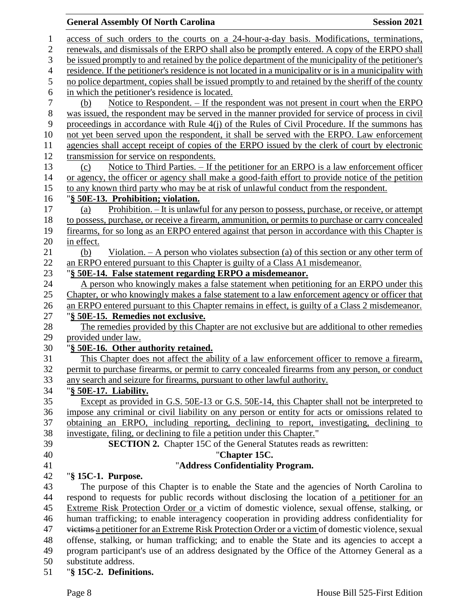# **General Assembly Of North Carolina Session 2021**

| $\mathbf{1}$     | access of such orders to the courts on a 24-hour-a-day basis. Modifications, terminations,                                         |
|------------------|------------------------------------------------------------------------------------------------------------------------------------|
| $\overline{c}$   | renewals, and dismissals of the ERPO shall also be promptly entered. A copy of the ERPO shall                                      |
| 3                | be issued promptly to and retained by the police department of the municipality of the petitioner's                                |
| $\overline{4}$   | residence. If the petitioner's residence is not located in a municipality or is in a municipality with                             |
| 5                | no police department, copies shall be issued promptly to and retained by the sheriff of the county                                 |
| 6                | in which the petitioner's residence is located.                                                                                    |
| $\boldsymbol{7}$ | <u>Notice to Respondent. – If the respondent was not present in court when the ERPO</u><br>(b)                                     |
| $8\,$            | was issued, the respondent may be served in the manner provided for service of process in civil                                    |
| 9                | proceedings in accordance with Rule 4(j) of the Rules of Civil Procedure. If the summons has                                       |
| 10               | not yet been served upon the respondent, it shall be served with the ERPO. Law enforcement                                         |
| 11               | agencies shall accept receipt of copies of the ERPO issued by the clerk of court by electronic                                     |
| 12               | transmission for service on respondents.                                                                                           |
| 13               | Notice to Third Parties. – If the petitioner for an ERPO is a law enforcement officer<br>(c)                                       |
| 14               | or agency, the officer or agency shall make a good-faith effort to provide notice of the petition                                  |
| 15               | to any known third party who may be at risk of unlawful conduct from the respondent.                                               |
| 16               | "§ 50E-13. Prohibition; violation.                                                                                                 |
| 17               | Prohibition. - It is unlawful for any person to possess, purchase, or receive, or attempt<br>(a)                                   |
| 18               | to possess, purchase, or receive a firearm, ammunition, or permits to purchase or carry concealed                                  |
| 19               | firearms, for so long as an ERPO entered against that person in accordance with this Chapter is                                    |
| 20               | in effect.                                                                                                                         |
| 21               | Violation. $- A$ person who violates subsection (a) of this section or any other term of<br>(b)                                    |
| 22               | an ERPO entered pursuant to this Chapter is guilty of a Class A1 misdemeanor.                                                      |
| 23               | "§ 50E-14. False statement regarding ERPO a misdemeanor.                                                                           |
| 24               | A person who knowingly makes a false statement when petitioning for an ERPO under this                                             |
| 25               | Chapter, or who knowingly makes a false statement to a law enforcement agency or officer that                                      |
| 26               | an ERPO entered pursuant to this Chapter remains in effect, is guilty of a Class 2 misdemeanor.                                    |
| $27\,$<br>28     | "§ 50E-15. Remedies not exclusive.<br>The remedies provided by this Chapter are not exclusive but are additional to other remedies |
| 29               | provided under law.                                                                                                                |
| 30               | "§ 50E-16. Other authority retained.                                                                                               |
| 31               | This Chapter does not affect the ability of a law enforcement officer to remove a firearm,                                         |
| 32               | permit to purchase firearms, or permit to carry concealed firearms from any person, or conduct                                     |
| 33               | any search and seizure for firearms, pursuant to other lawful authority.                                                           |
| 34               | "§ 50E-17. Liability.                                                                                                              |
| 35               | Except as provided in G.S. 50E-13 or G.S. 50E-14, this Chapter shall not be interpreted to                                         |
| 36               | impose any criminal or civil liability on any person or entity for acts or omissions related to                                    |
| 37               | obtaining an ERPO, including reporting, declining to report, investigating, declining to                                           |
| 38               | investigate, filing, or declining to file a petition under this Chapter."                                                          |
| 39               | <b>SECTION 2.</b> Chapter 15C of the General Statutes reads as rewritten:                                                          |
| 40               | "Chapter 15C.                                                                                                                      |
| 41               | "Address Confidentiality Program.                                                                                                  |
| 42               | "§ 15C-1. Purpose.                                                                                                                 |
| 43               | The purpose of this Chapter is to enable the State and the agencies of North Carolina to                                           |
| 44               | respond to requests for public records without disclosing the location of a petitioner for an                                      |
| 45               | Extreme Risk Protection Order or a victim of domestic violence, sexual offense, stalking, or                                       |
| 46               | human trafficking; to enable interagency cooperation in providing address confidentiality for                                      |
| 47               | victims a petitioner for an Extreme Risk Protection Order or a victim of domestic violence, sexual                                 |
| 48               | offense, stalking, or human trafficking; and to enable the State and its agencies to accept a                                      |
| 49               | program participant's use of an address designated by the Office of the Attorney General as a                                      |
| 50               | substitute address.                                                                                                                |

51 "**§ 15C-2. Definitions.**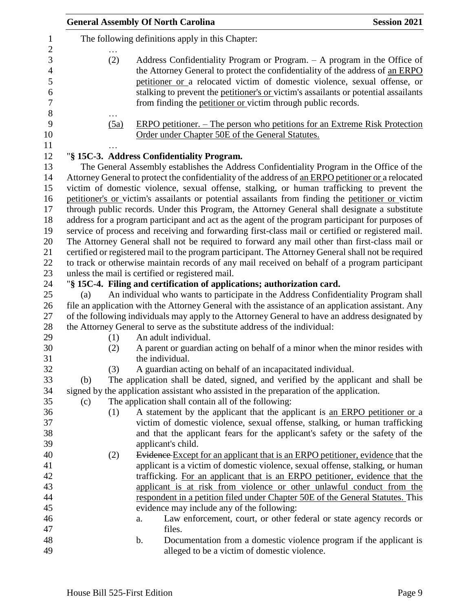|      | <b>General Assembly Of North Carolina</b>                                                                                                                                                                                                                                                                                                                                                        | <b>Session 2021</b> |
|------|--------------------------------------------------------------------------------------------------------------------------------------------------------------------------------------------------------------------------------------------------------------------------------------------------------------------------------------------------------------------------------------------------|---------------------|
|      | The following definitions apply in this Chapter:                                                                                                                                                                                                                                                                                                                                                 |                     |
| (2)  | Address Confidentiality Program or Program. $-$ A program in the Office of<br>the Attorney General to protect the confidentiality of the address of an ERPO<br>petitioner or a relocated victim of domestic violence, sexual offense, or<br>stalking to prevent the petitioner's or victim's assailants or potential assailants<br>from finding the petitioner or victim through public records. |                     |
| (5a) | <u>ERPO petitioner. – The person who petitions for an Extreme Risk Protection</u><br>Order under Chapter 50E of the General Statutes.                                                                                                                                                                                                                                                            |                     |
|      |                                                                                                                                                                                                                                                                                                                                                                                                  |                     |
|      | "§ 15C-3. Address Confidentiality Program.<br>The General Assembly establishes the Address Confidentiality Program in the Office of the                                                                                                                                                                                                                                                          |                     |
|      | Attorney General to protect the confidentiality of the address of an ERPO petitioner or a relocated                                                                                                                                                                                                                                                                                              |                     |
|      | victim of domestic violence, sexual offense, stalking, or human trafficking to prevent the                                                                                                                                                                                                                                                                                                       |                     |
|      | petitioner's or victim's assailants or potential assailants from finding the petitioner or victim                                                                                                                                                                                                                                                                                                |                     |
|      | through public records. Under this Program, the Attorney General shall designate a substitute                                                                                                                                                                                                                                                                                                    |                     |
|      | address for a program participant and act as the agent of the program participant for purposes of                                                                                                                                                                                                                                                                                                |                     |
|      | service of process and receiving and forwarding first-class mail or certified or registered mail.                                                                                                                                                                                                                                                                                                |                     |
|      | The Attorney General shall not be required to forward any mail other than first-class mail or                                                                                                                                                                                                                                                                                                    |                     |
|      | certified or registered mail to the program participant. The Attorney General shall not be required                                                                                                                                                                                                                                                                                              |                     |
|      | to track or otherwise maintain records of any mail received on behalf of a program participant                                                                                                                                                                                                                                                                                                   |                     |
|      | unless the mail is certified or registered mail.                                                                                                                                                                                                                                                                                                                                                 |                     |
|      | "§ 15C-4. Filing and certification of applications; authorization card.                                                                                                                                                                                                                                                                                                                          |                     |
| (a)  | An individual who wants to participate in the Address Confidentiality Program shall                                                                                                                                                                                                                                                                                                              |                     |
|      | file an application with the Attorney General with the assistance of an application assistant. Any                                                                                                                                                                                                                                                                                               |                     |
|      | of the following individuals may apply to the Attorney General to have an address designated by<br>the Attorney General to serve as the substitute address of the individual:                                                                                                                                                                                                                    |                     |
| (1)  | An adult individual.                                                                                                                                                                                                                                                                                                                                                                             |                     |
| (2)  | A parent or guardian acting on behalf of a minor when the minor resides with                                                                                                                                                                                                                                                                                                                     |                     |
|      | the individual.                                                                                                                                                                                                                                                                                                                                                                                  |                     |
| (3)  | A guardian acting on behalf of an incapacitated individual.                                                                                                                                                                                                                                                                                                                                      |                     |
| (b)  | The application shall be dated, signed, and verified by the applicant and shall be                                                                                                                                                                                                                                                                                                               |                     |
|      | signed by the application assistant who assisted in the preparation of the application.                                                                                                                                                                                                                                                                                                          |                     |
| (c)  | The application shall contain all of the following:                                                                                                                                                                                                                                                                                                                                              |                     |
| (1)  | A statement by the applicant that the applicant is an ERPO petitioner or a                                                                                                                                                                                                                                                                                                                       |                     |
|      | victim of domestic violence, sexual offense, stalking, or human trafficking                                                                                                                                                                                                                                                                                                                      |                     |
|      | and that the applicant fears for the applicant's safety or the safety of the                                                                                                                                                                                                                                                                                                                     |                     |
|      | applicant's child.                                                                                                                                                                                                                                                                                                                                                                               |                     |
| (2)  | Evidence Except for an applicant that is an ERPO petitioner, evidence that the                                                                                                                                                                                                                                                                                                                   |                     |
|      | applicant is a victim of domestic violence, sexual offense, stalking, or human                                                                                                                                                                                                                                                                                                                   |                     |
|      | trafficking. For an applicant that is an ERPO petitioner, evidence that the                                                                                                                                                                                                                                                                                                                      |                     |
|      | applicant is at risk from violence or other unlawful conduct from the                                                                                                                                                                                                                                                                                                                            |                     |
|      | respondent in a petition filed under Chapter 50E of the General Statutes. This<br>evidence may include any of the following:                                                                                                                                                                                                                                                                     |                     |
|      | Law enforcement, court, or other federal or state agency records or<br>a.                                                                                                                                                                                                                                                                                                                        |                     |
|      | files.                                                                                                                                                                                                                                                                                                                                                                                           |                     |
|      | Documentation from a domestic violence program if the applicant is<br>b.                                                                                                                                                                                                                                                                                                                         |                     |
|      | alleged to be a victim of domestic violence.                                                                                                                                                                                                                                                                                                                                                     |                     |